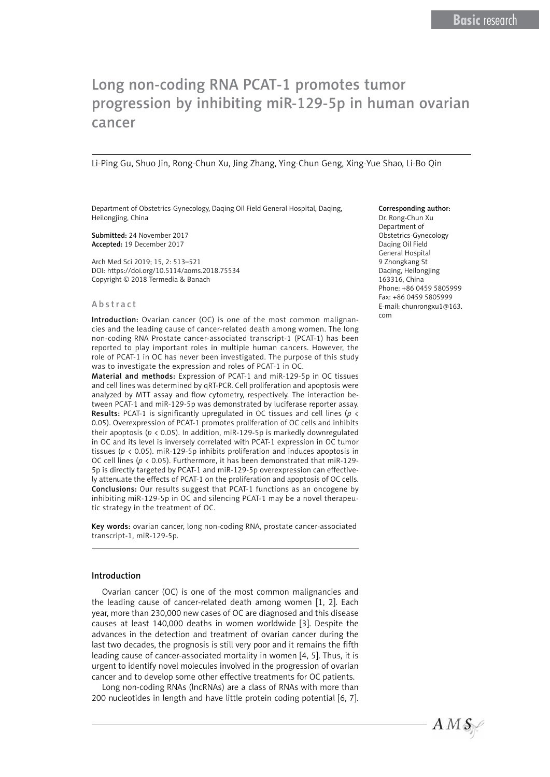# Long non-coding RNA PCAT-1 promotes tumor progression by inhibiting miR-129-5p in human ovarian cancer

Li-Ping Gu, Shuo Jin, Rong-Chun Xu, Jing Zhang, Ying-Chun Geng, Xing-Yue Shao, Li-Bo Qin

Department of Obstetrics-Gynecology, Daqing Oil Field General Hospital, Daqing, Heilongjing, China

Submitted: 24 November 2017 Accepted: 19 December 2017

Arch Med Sci 2019; 15, 2: 513–521 DOI: https://doi.org/10.5114/aoms.2018.75534 Copyright © 2018 Termedia & Banach

#### Abstract

Introduction: Ovarian cancer (OC) is one of the most common malignancies and the leading cause of cancer-related death among women. The long non-coding RNA Prostate cancer-associated transcript-1 (PCAT-1) has been reported to play important roles in multiple human cancers. However, the role of PCAT-1 in OC has never been investigated. The purpose of this study was to investigate the expression and roles of PCAT-1 in OC.

Material and methods: Expression of PCAT-1 and miR-129-5p in OC tissues and cell lines was determined by qRT-PCR. Cell proliferation and apoptosis were analyzed by MTT assay and flow cytometry, respectively. The interaction between PCAT-1 and miR-129-5p was demonstrated by luciferase reporter assay. Results: PCAT-1 is significantly upregulated in OC tissues and cell lines (*p* < 0.05). Overexpression of PCAT-1 promotes proliferation of OC cells and inhibits their apoptosis (*p* < 0.05). In addition, miR-129-5p is markedly downregulated in OC and its level is inversely correlated with PCAT-1 expression in OC tumor tissues (*p* < 0.05). miR-129-5p inhibits proliferation and induces apoptosis in OC cell lines (*p* < 0.05). Furthermore, it has been demonstrated that miR-129- 5p is directly targeted by PCAT-1 and miR-129-5p overexpression can effectively attenuate the effects of PCAT-1 on the proliferation and apoptosis of OC cells. Conclusions: Our results suggest that PCAT-1 functions as an oncogene by inhibiting miR-129-5p in OC and silencing PCAT-1 may be a novel therapeutic strategy in the treatment of OC.

Key words: ovarian cancer, long non-coding RNA, prostate cancer-associated transcript-1, miR-129-5p.

## Introduction

Ovarian cancer (OC) is one of the most common malignancies and the leading cause of cancer-related death among women [1, 2]. Each year, more than 230,000 new cases of OC are diagnosed and this disease causes at least 140,000 deaths in women worldwide [3]. Despite the advances in the detection and treatment of ovarian cancer during the last two decades, the prognosis is still very poor and it remains the fifth leading cause of cancer-associated mortality in women [4, 5]. Thus, it is urgent to identify novel molecules involved in the progression of ovarian cancer and to develop some other effective treatments for OC patients.

Long non-coding RNAs (lncRNAs) are a class of RNAs with more than 200 nucleotides in length and have little protein coding potential [6, 7].

#### Corresponding author:

Dr. Rong-Chun Xu Department of Obstetrics-Gynecology Daqing Oil Field General Hospital 9 Zhongkang St Daqing, Heilongjing 163316, China Phone: +86 0459 5805999 Fax: +86 0459 5805999 E-mail: chunrongxu1@163. com

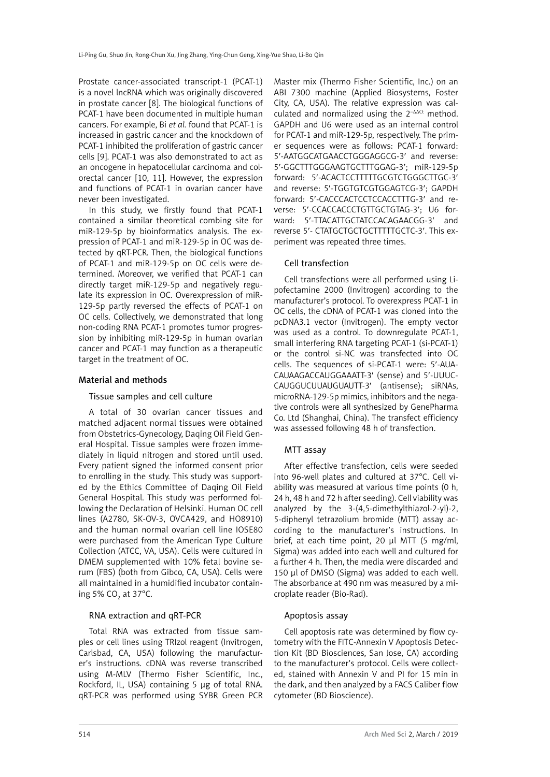Prostate cancer-associated transcript-1 (PCAT-1) is a novel lncRNA which was originally discovered in prostate cancer [8]. The biological functions of PCAT-1 have been documented in multiple human cancers. For example, Bi *et al.* found that PCAT-1 is increased in gastric cancer and the knockdown of PCAT-1 inhibited the proliferation of gastric cancer cells [9]. PCAT-1 was also demonstrated to act as an oncogene in hepatocellular carcinoma and colorectal cancer [10, 11]. However, the expression and functions of PCAT-1 in ovarian cancer have never been investigated.

In this study, we firstly found that PCAT-1 contained a similar theoretical combing site for miR-129-5p by bioinformatics analysis. The expression of PCAT-1 and miR-129-5p in OC was detected by qRT-PCR. Then, the biological functions of PCAT-1 and miR-129-5p on OC cells were determined. Moreover, we verified that PCAT-1 can directly target miR-129-5p and negatively regulate its expression in OC. Overexpression of miR-129-5p partly reversed the effects of PCAT-1 on OC cells. Collectively, we demonstrated that long non-coding RNA PCAT-1 promotes tumor progression by inhibiting miR-129-5p in human ovarian cancer and PCAT-1 may function as a therapeutic target in the treatment of OC.

# Material and methods

# Tissue samples and cell culture

A total of 30 ovarian cancer tissues and matched adjacent normal tissues were obtained from Obstetrics-Gynecology, Daqing Oil Field General Hospital. Tissue samples were frozen immediately in liquid nitrogen and stored until used. Every patient signed the informed consent prior to enrolling in the study. This study was supported by the Ethics Committee of Daqing Oil Field General Hospital. This study was performed following the Declaration of Helsinki. Human OC cell lines (A2780, SK-OV-3, OVCA429, and HO8910) and the human normal ovarian cell line IOSE80 were purchased from the American Type Culture Collection (ATCC, VA, USA). Cells were cultured in DMEM supplemented with 10% fetal bovine serum (FBS) (both from Gibco, CA, USA). Cells were all maintained in a humidified incubator containing 5% CO $_{2}$  at 37°C.

# RNA extraction and qRT-PCR

Total RNA was extracted from tissue samples or cell lines using TRIzol reagent (Invitrogen, Carlsbad, CA, USA) following the manufacturer's instructions. cDNA was reverse transcribed using M-MLV (Thermo Fisher Scientific, Inc., Rockford, IL, USA) containing 5 μg of total RNA. qRT-PCR was performed using SYBR Green PCR Master mix (Thermo Fisher Scientific, Inc.) on an ABI 7300 machine (Applied Biosystems, Foster City, CA, USA). The relative expression was calculated and normalized using the  $2^{-\Delta\Delta Ct}$  method. GAPDH and U6 were used as an internal control for PCAT-1 and miR-129-5p, respectively. The primer sequences were as follows: PCAT-1 forward: 5′-AATGGCATGAACCTGGGAGGCG-3′ and reverse: 5′-GGCTTTGGGAAGTGCTTTGGAG-3′; miR-129-5p forward: 5′-ACACTCCTTTTTGCGTCTGGGCTTGC-3′ and reverse: 5′-TGGTGTCGTGGAGTCG-3′; GAPDH forward: 5′-CACCCACTCCTCCACCTTTG-3′ and reverse: 5′-CCACCACCCTGTTGCTGTAG-3′; U6 forward: 5'-TTACATTGCTATCCACAGAACGG-3' and reverse 5′- CTATGCTGCTGCTTTTTGCTC-3′. This experiment was repeated three times.

# Cell transfection

Cell transfections were all performed using Lipofectamine 2000 (Invitrogen) according to the manufacturer's protocol. To overexpress PCAT-1 in OC cells, the cDNA of PCAT-1 was cloned into the pcDNA3.1 vector (Invitrogen). The empty vector was used as a control. To downregulate PCAT-1, small interfering RNA targeting PCAT-1 (si-PCAT-1) or the control si-NC was transfected into OC cells. The sequences of si-PCAT-1 were: 5′-AUA-CAUAAGACCAUGGAAATT-3′ (sense) and 5′-UUUC-CAUGGUCUUAUGUAUTT-3′ (antisense); siRNAs, microRNA-129-5p mimics, inhibitors and the negative controls were all synthesized by GenePharma Co. Ltd (Shanghai, China). The transfect efficiency was assessed following 48 h of transfection.

# MTT assay

After effective transfection, cells were seeded into 96-well plates and cultured at 37°C. Cell viability was measured at various time points (0 h, 24 h, 48 h and 72 h after seeding). Cell viability was analyzed by the 3-(4,5-dimethylthiazol-2-yl)-2, 5-diphenyl tetrazolium bromide (MTT) assay according to the manufacturer's instructions. In brief, at each time point, 20 µl MTT (5 mg/ml, Sigma) was added into each well and cultured for a further 4 h. Then, the media were discarded and 150 µl of DMSO (Sigma) was added to each well. The absorbance at 490 nm was measured by a microplate reader (Bio-Rad).

# Apoptosis assay

Cell apoptosis rate was determined by flow cytometry with the FITC-Annexin V Apoptosis Detection Kit (BD Biosciences, San Jose, CA) according to the manufacturer's protocol. Cells were collected, stained with Annexin V and PI for 15 min in the dark, and then analyzed by a FACS Caliber flow cytometer (BD Bioscience).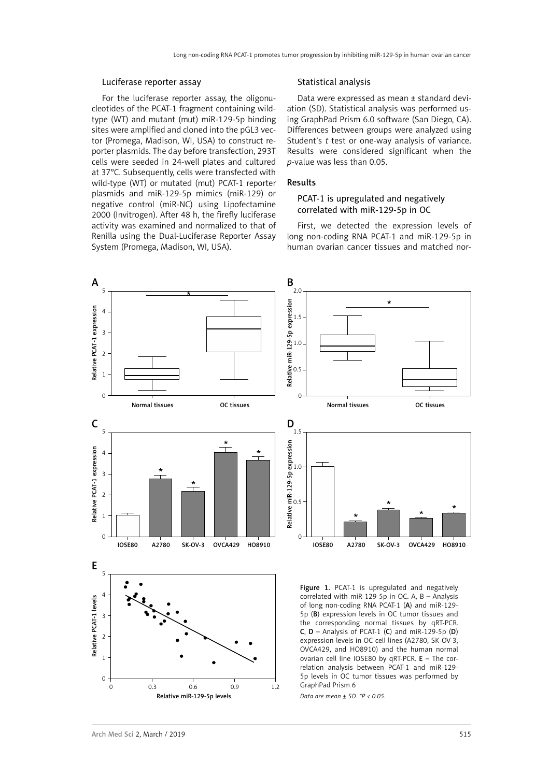#### Luciferase reporter assay

For the luciferase reporter assay, the oligonucleotides of the PCAT-1 fragment containing wildtype (WT) and mutant (mut) miR-129-5p binding sites were amplified and cloned into the pGL3 vector (Promega, Madison, WI, USA) to construct reporter plasmids. The day before transfection, 293T cells were seeded in 24-well plates and cultured at 37°C. Subsequently, cells were transfected with wild-type (WT) or mutated (mut) PCAT-1 reporter plasmids and miR-129-5p mimics (miR-129) or negative control (miR-NC) using Lipofectamine 2000 (Invitrogen). After 48 h, the firefly luciferase activity was examined and normalized to that of Renilla using the Dual-Luciferase Reporter Assay System (Promega, Madison, WI, USA).

#### Statistical analysis

Data were expressed as mean ± standard deviation (SD). Statistical analysis was performed using GraphPad Prism 6.0 software (San Diego, CA). Differences between groups were analyzed using Student's *t* test or one-way analysis of variance. Results were considered significant when the *p*-value was less than 0.05.

### Results

## PCAT-1 is upregulated and negatively correlated with miR-129-5p in OC

First, we detected the expression levels of long non-coding RNA PCAT-1 and miR-129-5p in human ovarian cancer tissues and matched nor-



*Data are mean ± SD. \*P < 0.05.*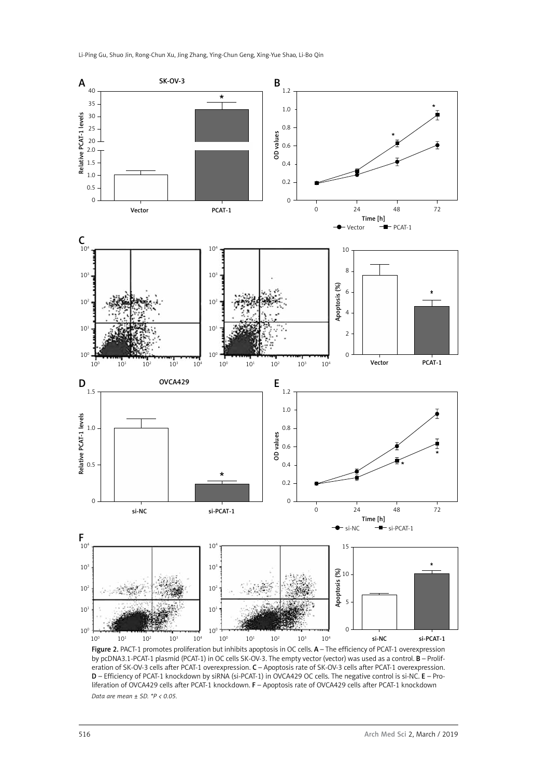

Figure 2. PACT-1 promotes proliferation but inhibits apoptosis in OC cells. A - The efficiency of PCAT-1 overexpression by pcDNA3.1-PCAT-1 plasmid (PCAT-1) in OC cells SK-OV-3. The empty vector (vector) was used as a control. B – Proliferation of SK-OV-3 cells after PCAT-1 overexpression. C – Apoptosis rate of SK-OV-3 cells after PCAT-1 overexpression. D – Efficiency of PCAT-1 knockdown by siRNA (si-PCAT-1) in OVCA429 OC cells. The negative control is si-NC. E – Proliferation of OVCA429 cells after PCAT-1 knockdown. F – Apoptosis rate of OVCA429 cells after PCAT-1 knockdown *Data are mean ± SD. \*P < 0.05.*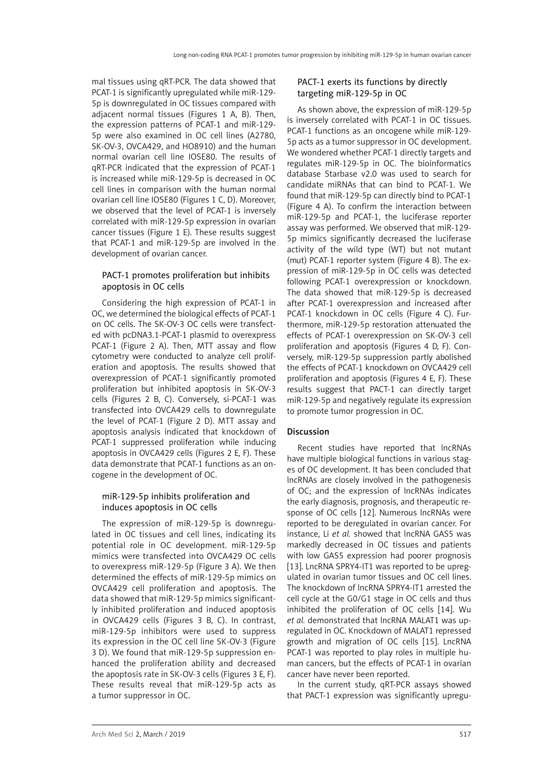mal tissues using qRT-PCR. The data showed that PCAT-1 is significantly upregulated while miR-129- 5p is downregulated in OC tissues compared with adjacent normal tissues (Figures 1 A, B). Then, the expression patterns of PCAT-1 and miR-129- 5p were also examined in OC cell lines (A2780, SK-OV-3, OVCA429, and HO8910) and the human normal ovarian cell line IOSE80. The results of qRT-PCR indicated that the expression of PCAT-1 is increased while miR-129-5p is decreased in OC cell lines in comparison with the human normal ovarian cell line IOSE80 (Figures 1 C, D). Moreover, we observed that the level of PCAT-1 is inversely correlated with miR-129-5p expression in ovarian cancer tissues (Figure 1 E). These results suggest that PCAT-1 and miR-129-5p are involved in the development of ovarian cancer.

## PACT-1 promotes proliferation but inhibits apoptosis in OC cells

Considering the high expression of PCAT-1 in OC, we determined the biological effects of PCAT-1 on OC cells. The SK-OV-3 OC cells were transfected with pcDNA3.1-PCAT-1 plasmid to overexpress PCAT-1 (Figure 2 A). Then, MTT assay and flow cytometry were conducted to analyze cell proliferation and apoptosis. The results showed that overexpression of PCAT-1 significantly promoted proliferation but inhibited apoptosis in SK-OV-3 cells (Figures 2 B, C). Conversely, si-PCAT-1 was transfected into OVCA429 cells to downregulate the level of PCAT-1 (Figure 2 D). MTT assay and apoptosis analysis indicated that knockdown of PCAT-1 suppressed proliferation while inducing apoptosis in OVCA429 cells (Figures 2 E, F). These data demonstrate that PCAT-1 functions as an oncogene in the development of OC.

## miR-129-5p inhibits proliferation and induces apoptosis in OC cells

The expression of miR-129-5p is downregulated in OC tissues and cell lines, indicating its potential role in OC development. miR-129-5p mimics were transfected into OVCA429 OC cells to overexpress miR-129-5p (Figure 3 A). We then determined the effects of miR-129-5p mimics on OVCA429 cell proliferation and apoptosis. The data showed that miR-129-5p mimics significantly inhibited proliferation and induced apoptosis in OVCA429 cells (Figures 3 B, C). In contrast, miR-129-5p inhibitors were used to suppress its expression in the OC cell line SK-OV-3 (Figure 3 D). We found that miR-129-5p suppression enhanced the proliferation ability and decreased the apoptosis rate in SK-OV-3 cells (Figures 3 E, F). These results reveal that miR-129-5p acts as a tumor suppressor in OC.

## PACT-1 exerts its functions by directly targeting miR-129-5p in OC

As shown above, the expression of miR-129-5p is inversely correlated with PCAT-1 in OC tissues. PCAT-1 functions as an oncogene while miR-129- 5p acts as a tumor suppressor in OC development. We wondered whether PCAT-1 directly targets and regulates miR-129-5p in OC. The bioinformatics database Starbase v2.0 was used to search for candidate miRNAs that can bind to PCAT-1. We found that miR-129-5p can directly bind to PCAT-1 (Figure 4 A). To confirm the interaction between miR-129-5p and PCAT-1, the luciferase reporter assay was performed. We observed that miR-129- 5p mimics significantly decreased the luciferase activity of the wild type (WT) but not mutant (mut) PCAT-1 reporter system (Figure 4 B). The expression of miR-129-5p in OC cells was detected following PCAT-1 overexpression or knockdown. The data showed that miR-129-5p is decreased after PCAT-1 overexpression and increased after PCAT-1 knockdown in OC cells (Figure 4 C). Furthermore, miR-129-5p restoration attenuated the effects of PCAT-1 overexpression on SK-OV-3 cell proliferation and apoptosis (Figures 4 D, F). Conversely, miR-129-5p suppression partly abolished the effects of PCAT-1 knockdown on OVCA429 cell proliferation and apoptosis (Figures 4 E, F). These results suggest that PACT-1 can directly target miR-129-5p and negatively regulate its expression to promote tumor progression in OC.

#### Discussion

Recent studies have reported that lncRNAs have multiple biological functions in various stages of OC development. It has been concluded that lncRNAs are closely involved in the pathogenesis of OC; and the expression of lncRNAs indicates the early diagnosis, prognosis, and therapeutic response of OC cells [12]. Numerous lncRNAs were reported to be deregulated in ovarian cancer. For instance, Li *et al.* showed that lncRNA GAS5 was markedly decreased in OC tissues and patients with low GAS5 expression had poorer prognosis [13]. LncRNA SPRY4-IT1 was reported to be upregulated in ovarian tumor tissues and OC cell lines. The knockdown of lncRNA SPRY4-IT1 arrested the cell cycle at the G0/G1 stage in OC cells and thus inhibited the proliferation of OC cells [14]. Wu *et al.* demonstrated that lncRNA MALAT1 was upregulated in OC. Knockdown of MALAT1 repressed growth and migration of OC cells [15]. LncRNA PCAT-1 was reported to play roles in multiple human cancers, but the effects of PCAT-1 in ovarian cancer have never been reported.

In the current study, qRT-PCR assays showed that PACT-1 expression was significantly upregu-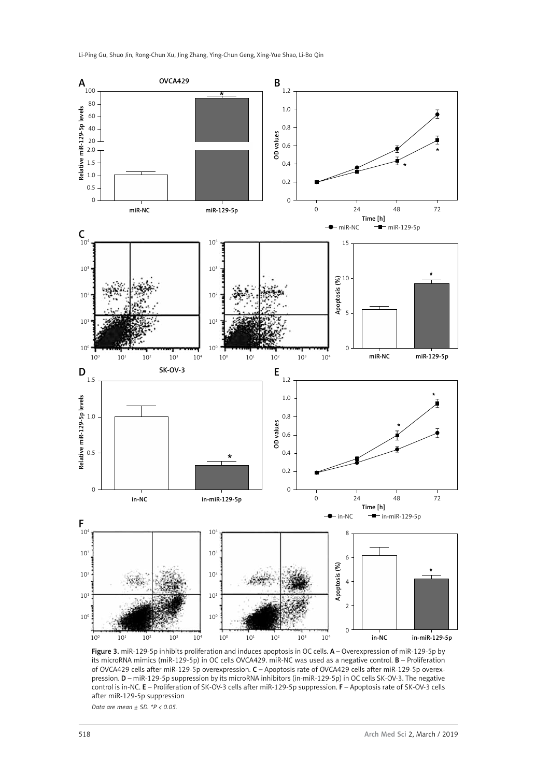

Figure 3. miR-129-5p inhibits proliferation and induces apoptosis in OC cells. A – Overexpression of miR-129-5p by its microRNA mimics (miR-129-5p) in OC cells OVCA429. miR-NC was used as a negative control. B – Proliferation of OVCA429 cells after miR-129-5p overexpression. C – Apoptosis rate of OVCA429 cells after miR-129-5p overexpression. D – miR-129-5p suppression by its microRNA inhibitors (in-miR-129-5p) in OC cells SK-OV-3. The negative control is in-NC. E – Proliferation of SK-OV-3 cells after miR-129-5p suppression. F – Apoptosis rate of SK-OV-3 cells after miR-129-5p suppression

*Data are mean ± SD. \*P < 0.05.*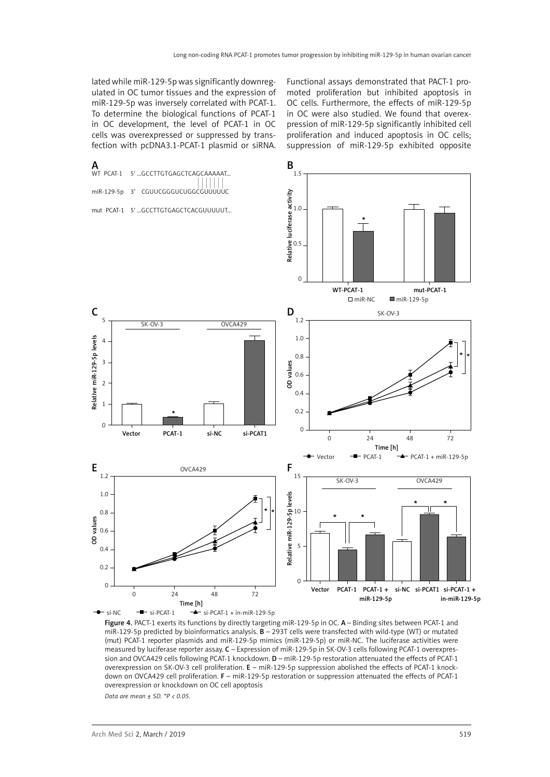lated while miR-129-5p was significantly downregulated in OC tumor tissues and the expression of miR-129-5p was inversely correlated with PCAT-1. To determine the biological functions of PCAT-1 in OC development, the level of PCAT-1 in OC cells was overexpressed or suppressed by transfection with pcDNA3.1-PCAT-1 plasmid or siRNA.

Functional assays demonstrated that PACT-1 promoted proliferation but inhibited apoptosis in OC cells. Furthermore, the effects of miR-129-5p in OC were also studied. We found that overexpression of miR-129-5p significantly inhibited cell proliferation and induced apoptosis in OC cells; suppression of miR-129-5p exhibited opposite



Figure 4. PACT-1 exerts its functions by directly targeting miR-129-5p in OC. A - Binding sites between PCAT-1 and miR-129-5p predicted by bioinformatics analysis.  $\overline{B}$  – 293T cells were transfected with wild-type (WT) or mutated (mut) PCAT-1 reporter plasmids and miR-129-5p mimics (miR-129-5p) or miR-NC. The luciferase activities were measured by luciferase reporter assay. C – Expression of miR-129-5p in SK-OV-3 cells following PCAT-1 overexpression and OVCA429 cells following PCAT-1 knockdown. D – miR-129-5p restoration attenuated the effects of PCAT-1 overexpression on SK-OV-3 cell proliferation. E – miR-129-5p suppression abolished the effects of PCAT-1 knockdown on OVCA429 cell proliferation. F – miR-129-5p restoration or suppression attenuated the effects of PCAT-1 overexpression or knockdown on OC cell apoptosis

*Data are mean ± SD. \*P < 0.05.*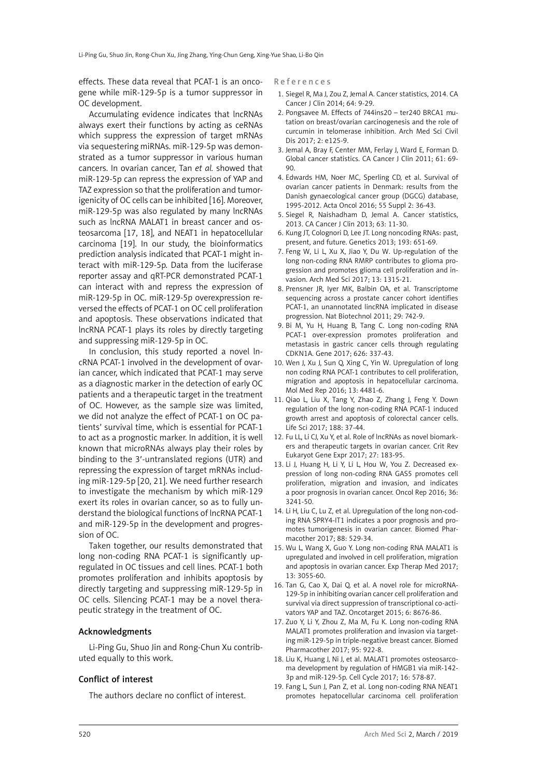effects. These data reveal that PCAT-1 is an oncogene while miR-129-5p is a tumor suppressor in OC development.

Accumulating evidence indicates that lncRNAs always exert their functions by acting as ceRNAs which suppress the expression of target mRNAs via sequestering miRNAs. miR-129-5p was demonstrated as a tumor suppressor in various human cancers. In ovarian cancer, Tan *et al.* showed that miR-129-5p can repress the expression of YAP and TAZ expression so that the proliferation and tumorigenicity of OC cells can be inhibited [16]. Moreover, miR-129-5p was also regulated by many lncRNAs such as lncRNA MALAT1 in breast cancer and osteosarcoma [17, 18], and NEAT1 in hepatocellular carcinoma [19]. In our study, the bioinformatics prediction analysis indicated that PCAT-1 might interact with miR-129-5p. Data from the luciferase reporter assay and qRT-PCR demonstrated PCAT-1 can interact with and repress the expression of miR-129-5p in OC. miR-129-5p overexpression reversed the effects of PCAT-1 on OC cell proliferation and apoptosis. These observations indicated that lncRNA PCAT-1 plays its roles by directly targeting and suppressing miR-129-5p in OC.

In conclusion, this study reported a novel lncRNA PCAT-1 involved in the development of ovarian cancer, which indicated that PCAT-1 may serve as a diagnostic marker in the detection of early OC patients and a therapeutic target in the treatment of OC. However, as the sample size was limited, we did not analyze the effect of PCAT-1 on OC patients' survival time, which is essential for PCAT-1 to act as a prognostic marker. In addition, it is well known that microRNAs always play their roles by binding to the 3′-untranslated regions (UTR) and repressing the expression of target mRNAs including miR-129-5p [20, 21]. We need further research to investigate the mechanism by which miR-129 exert its roles in ovarian cancer, so as to fully understand the biological functions of lncRNA PCAT-1 and miR-129-5p in the development and progression of OC.

Taken together, our results demonstrated that long non-coding RNA PCAT-1 is significantly upregulated in OC tissues and cell lines. PCAT-1 both promotes proliferation and inhibits apoptosis by directly targeting and suppressing miR-129-5p in OC cells. Silencing PCAT-1 may be a novel therapeutic strategy in the treatment of OC.

#### Acknowledgments

Li-Ping Gu, Shuo Jin and Rong-Chun Xu contributed equally to this work.

#### Conflict of interest

The authors declare no conflict of interest.

References

- 1. Siegel R, Ma J, Zou Z, Jemal A. Cancer statistics, 2014. CA Cancer J Clin 2014; 64: 9-29.
- 2. Pongsavee M. Effects of 744ins20 ter240 BRCA1 mutation on breast/ovarian carcinogenesis and the role of curcumin in telomerase inhibition. Arch Med Sci Civil Dis 2017; 2: e125-9.
- 3. Jemal A, Bray F, Center MM, Ferlay J, Ward E, Forman D. Global cancer statistics. CA Cancer J Clin 2011; 61: 69- 90.
- 4. Edwards HM, Noer MC, Sperling CD, et al. Survival of ovarian cancer patients in Denmark: results from the Danish gynaecological cancer group (DGCG) database, 1995-2012. Acta Oncol 2016; 55 Suppl 2: 36-43.
- 5. Siegel R, Naishadham D, Jemal A. Cancer statistics, 2013. CA Cancer J Clin 2013; 63: 11-30.
- 6. Kung JT, Colognori D, Lee JT. Long noncoding RNAs: past, present, and future. Genetics 2013; 193: 651-69.
- 7. Feng W, Li L, Xu X, Jiao Y, Du W. Up-regulation of the long non-coding RNA RMRP contributes to glioma progression and promotes glioma cell proliferation and invasion. Arch Med Sci 2017; 13: 1315-21.
- 8. Prensner JR, Iyer MK, Balbin OA, et al. Transcriptome sequencing across a prostate cancer cohort identifies PCAT-1, an unannotated lincRNA implicated in disease progression. Nat Biotechnol 2011; 29: 742-9.
- 9. Bi M, Yu H, Huang B, Tang C. Long non-coding RNA PCAT-1 over-expression promotes proliferation and metastasis in gastric cancer cells through regulating CDKN1A. Gene 2017; 626: 337-43.
- 10. Wen J, Xu J, Sun Q, Xing C, Yin W. Upregulation of long non coding RNA PCAT-1 contributes to cell proliferation, migration and apoptosis in hepatocellular carcinoma. Mol Med Rep 2016; 13: 4481-6.
- 11. Qiao L, Liu X, Tang Y, Zhao Z, Zhang J, Feng Y. Down regulation of the long non-coding RNA PCAT-1 induced growth arrest and apoptosis of colorectal cancer cells. Life Sci 2017; 188: 37-44.
- 12. Fu LL, Li CJ, Xu Y, et al. Role of lncRNAs as novel biomarkers and therapeutic targets in ovarian cancer. Crit Rev Eukaryot Gene Expr 2017; 27: 183-95.
- 13. Li J, Huang H, Li Y, Li L, Hou W, You Z. Decreased expression of long non-coding RNA GAS5 promotes cell proliferation, migration and invasion, and indicates a poor prognosis in ovarian cancer. Oncol Rep 2016; 36: 3241-50.
- 14. Li H, Liu C, Lu Z, et al. Upregulation of the long non-coding RNA SPRY4-IT1 indicates a poor prognosis and promotes tumorigenesis in ovarian cancer. Biomed Pharmacother 2017; 88: 529-34.
- 15. Wu L, Wang X, Guo Y. Long non-coding RNA MALAT1 is upregulated and involved in cell proliferation, migration and apoptosis in ovarian cancer. Exp Therap Med 2017; 13: 3055-60.
- 16. Tan G, Cao X, Dai Q, et al. A novel role for microRNA-129-5p in inhibiting ovarian cancer cell proliferation and survival via direct suppression of transcriptional co-activators YAP and TAZ. Oncotarget 2015; 6: 8676-86.
- 17. Zuo Y, Li Y, Zhou Z, Ma M, Fu K. Long non-coding RNA MALAT1 promotes proliferation and invasion via targeting miR-129-5p in triple-negative breast cancer. Biomed Pharmacother 2017; 95: 922-8.
- 18. Liu K, Huang J, Ni J, et al. MALAT1 promotes osteosarcoma development by regulation of HMGB1 via miR-142- 3p and miR-129-5p. Cell Cycle 2017; 16: 578-87.
- 19. Fang L, Sun J, Pan Z, et al. Long non-coding RNA NEAT1 promotes hepatocellular carcinoma cell proliferation